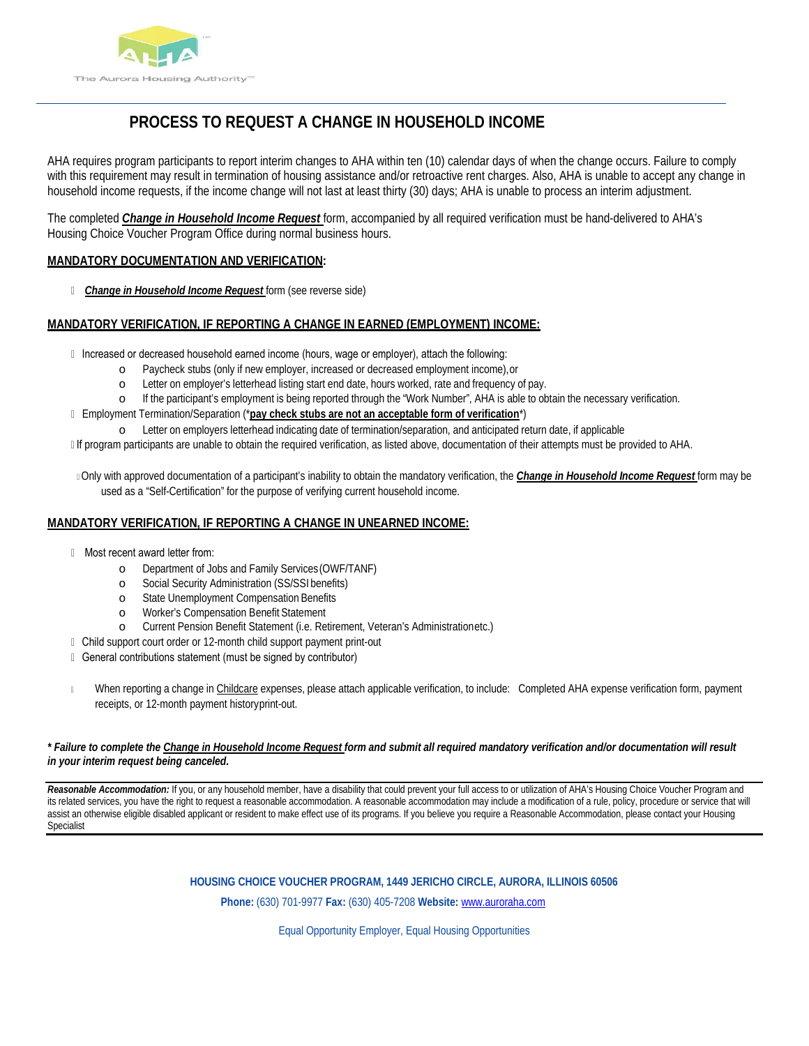

# **PROCESS TO REQUEST A CHANGE IN HOUSEHOLD INCOME**

AHA requires program participants to report interim changes to AHA within ten (10) calendar days of when the change occurs. Failure to comply with this requirement may result in termination of housing assistance and/or retroactive rent charges. Also, AHA is unable to accept any change in household income requests, if the income change will not last at least thirty (30) days; AHA is unable to process an interim adjustment.

The completed *Change in Household Income Request* form, accompanied by all required verification must be hand-delivered to AHA's Housing Choice Voucher Program Office during normal business hours.

#### **MANDATORY DOCUMENTATION AND VERIFICATION:**

*Change in Household Income Request* form (see reverse side)

### **MANDATORY VERIFICATION, IF REPORTING A CHANGE IN EARNED (EMPLOYMENT) INCOME:**

- Il Increased or decreased household earned income (hours, wage or employer), attach the following:
	- o Paycheck stubs (only if new employer, increased or decreased employment income),or
	- o Letter on employer's letterhead listing start end date, hours worked, rate and frequency of pay.
	- o If the participant's employment is being reported through the "Work Number", AHA is able to obtain the necessary verification.
- Employment Termination/Separation (\***pay check stubs are not an acceptable form of verification**\*)
	- Letter on employers letterhead indicating date of termination/separation, and anticipated return date, if applicable
- If program participants are unable to obtain the required verification, as listed above, documentation of their attempts must be provided to AHA.
- Only with approved documentation of a participant's inability to obtain the mandatory verification, the *Change in Household Income Request* form may be used as a "Self-Certification" for the purpose of verifying current household income.

#### **MANDATORY VERIFICATION, IF REPORTING A CHANGE IN UNEARNED INCOME:**

- Most recent award letter from:
	- o Department of Jobs and Family Services(OWF/TANF)
	- o Social Security Administration (SS/SSI benefits)
	- o State Unemployment Compensation Benefits
	- o Worker's Compensation Benefit Statement
	- o Current Pension Benefit Statement (i.e. Retirement, Veteran's Administrationetc.)
- Child support court order or 12-month child support payment print-out
- General contributions statement (must be signed by contributor)
- When reporting a change in Childcare expenses, please attach applicable verification, to include: Completed AHA expense verification form, payment receipts, or 12-month payment historyprint-out.

#### *\* Failure to complete the Change in Household Income Request form and submit all required mandatory verification and/or documentation will result in your interim request being canceled.*

*Reasonable Accommodation:* If you, or any household member, have a disability that could prevent your full access to or utilization of AHA's Housing Choice Voucher Program and its related services, you have the right to request a reasonable accommodation. A reasonable accommodation may include a modification of a rule, policy, procedure or service that will assist an otherwise eligible disabled applicant or resident to make effect use of its programs. If you believe you require a Reasonable Accommodation, please contact your Housing Specialist

**HOUSING CHOICE VOUCHER PROGRAM, 1449 JERICHO CIRCLE, AURORA, ILLINOIS 60506**

**Phone:** (630) 701-9977 **Fax:** (630) 405-7208 **Website:** [www.auroraha.com](http://www.auroraha.com/)

Equal Opportunity Employer, Equal Housing Opportunities